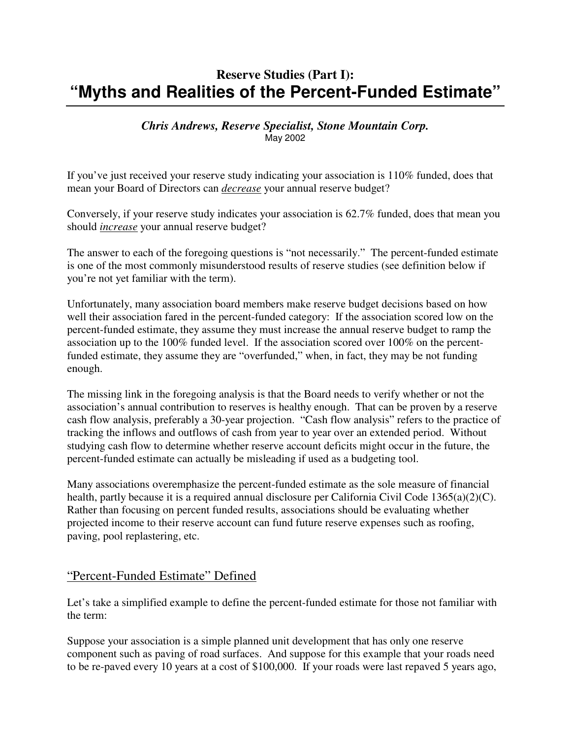# **Reserve Studies (Part I): "Myths and Realities of the Percent-Funded Estimate"**

#### *Chris Andrews, Reserve Specialist, Stone Mountain Corp.*  May 2002

If you've just received your reserve study indicating your association is 110% funded, does that mean your Board of Directors can *decrease* your annual reserve budget?

Conversely, if your reserve study indicates your association is 62.7% funded, does that mean you should *increase* your annual reserve budget?

The answer to each of the foregoing questions is "not necessarily." The percent-funded estimate is one of the most commonly misunderstood results of reserve studies (see definition below if you're not yet familiar with the term).

Unfortunately, many association board members make reserve budget decisions based on how well their association fared in the percent-funded category: If the association scored low on the percent-funded estimate, they assume they must increase the annual reserve budget to ramp the association up to the 100% funded level. If the association scored over 100% on the percentfunded estimate, they assume they are "overfunded," when, in fact, they may be not funding enough.

The missing link in the foregoing analysis is that the Board needs to verify whether or not the association's annual contribution to reserves is healthy enough. That can be proven by a reserve cash flow analysis, preferably a 30-year projection. "Cash flow analysis" refers to the practice of tracking the inflows and outflows of cash from year to year over an extended period. Without studying cash flow to determine whether reserve account deficits might occur in the future, the percent-funded estimate can actually be misleading if used as a budgeting tool.

Many associations overemphasize the percent-funded estimate as the sole measure of financial health, partly because it is a required annual disclosure per California Civil Code  $1365(a)(2)(C)$ . Rather than focusing on percent funded results, associations should be evaluating whether projected income to their reserve account can fund future reserve expenses such as roofing, paving, pool replastering, etc.

## "Percent-Funded Estimate" Defined

Let's take a simplified example to define the percent-funded estimate for those not familiar with the term:

Suppose your association is a simple planned unit development that has only one reserve component such as paving of road surfaces. And suppose for this example that your roads need to be re-paved every 10 years at a cost of \$100,000. If your roads were last repaved 5 years ago,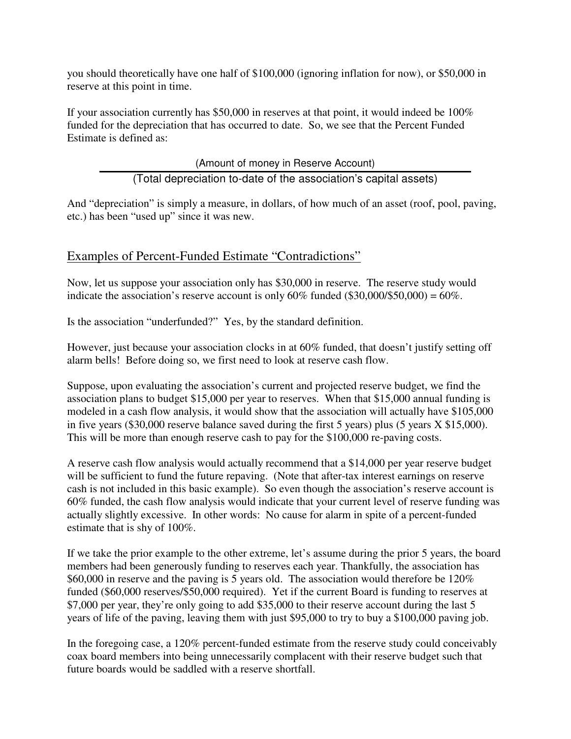you should theoretically have one half of \$100,000 (ignoring inflation for now), or \$50,000 in reserve at this point in time.

If your association currently has \$50,000 in reserves at that point, it would indeed be 100% funded for the depreciation that has occurred to date. So, we see that the Percent Funded Estimate is defined as:

(Amount of money in Reserve Account)

(Total depreciation to-date of the association's capital assets)

And "depreciation" is simply a measure, in dollars, of how much of an asset (roof, pool, paving, etc.) has been "used up" since it was new.

# Examples of Percent-Funded Estimate "Contradictions"

Now, let us suppose your association only has \$30,000 in reserve. The reserve study would indicate the association's reserve account is only  $60\%$  funded  $(\$30,000/\$50,000) = 60\%$ .

Is the association "underfunded?" Yes, by the standard definition.

However, just because your association clocks in at 60% funded, that doesn't justify setting off alarm bells! Before doing so, we first need to look at reserve cash flow.

Suppose, upon evaluating the association's current and projected reserve budget, we find the association plans to budget \$15,000 per year to reserves. When that \$15,000 annual funding is modeled in a cash flow analysis, it would show that the association will actually have \$105,000 in five years (\$30,000 reserve balance saved during the first 5 years) plus (5 years X \$15,000). This will be more than enough reserve cash to pay for the \$100,000 re-paving costs.

A reserve cash flow analysis would actually recommend that a \$14,000 per year reserve budget will be sufficient to fund the future repaving. (Note that after-tax interest earnings on reserve cash is not included in this basic example). So even though the association's reserve account is 60% funded, the cash flow analysis would indicate that your current level of reserve funding was actually slightly excessive. In other words: No cause for alarm in spite of a percent-funded estimate that is shy of 100%.

If we take the prior example to the other extreme, let's assume during the prior 5 years, the board members had been generously funding to reserves each year. Thankfully, the association has \$60,000 in reserve and the paving is 5 years old. The association would therefore be 120% funded (\$60,000 reserves/\$50,000 required). Yet if the current Board is funding to reserves at \$7,000 per year, they're only going to add \$35,000 to their reserve account during the last 5 years of life of the paving, leaving them with just \$95,000 to try to buy a \$100,000 paving job.

In the foregoing case, a 120% percent-funded estimate from the reserve study could conceivably coax board members into being unnecessarily complacent with their reserve budget such that future boards would be saddled with a reserve shortfall.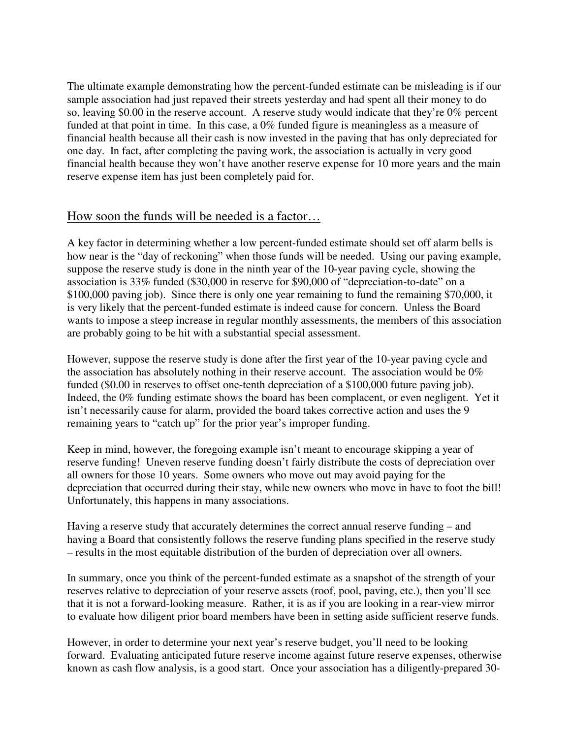The ultimate example demonstrating how the percent-funded estimate can be misleading is if our sample association had just repaved their streets yesterday and had spent all their money to do so, leaving \$0.00 in the reserve account. A reserve study would indicate that they're 0% percent funded at that point in time. In this case, a 0% funded figure is meaningless as a measure of financial health because all their cash is now invested in the paving that has only depreciated for one day. In fact, after completing the paving work, the association is actually in very good financial health because they won't have another reserve expense for 10 more years and the main reserve expense item has just been completely paid for.

### How soon the funds will be needed is a factor…

A key factor in determining whether a low percent-funded estimate should set off alarm bells is how near is the "day of reckoning" when those funds will be needed. Using our paving example, suppose the reserve study is done in the ninth year of the 10-year paving cycle, showing the association is 33% funded (\$30,000 in reserve for \$90,000 of "depreciation-to-date" on a \$100,000 paving job). Since there is only one year remaining to fund the remaining \$70,000, it is very likely that the percent-funded estimate is indeed cause for concern. Unless the Board wants to impose a steep increase in regular monthly assessments, the members of this association are probably going to be hit with a substantial special assessment.

However, suppose the reserve study is done after the first year of the 10-year paving cycle and the association has absolutely nothing in their reserve account. The association would be 0% funded (\$0.00 in reserves to offset one-tenth depreciation of a \$100,000 future paving job). Indeed, the 0% funding estimate shows the board has been complacent, or even negligent. Yet it isn't necessarily cause for alarm, provided the board takes corrective action and uses the 9 remaining years to "catch up" for the prior year's improper funding.

Keep in mind, however, the foregoing example isn't meant to encourage skipping a year of reserve funding! Uneven reserve funding doesn't fairly distribute the costs of depreciation over all owners for those 10 years. Some owners who move out may avoid paying for the depreciation that occurred during their stay, while new owners who move in have to foot the bill! Unfortunately, this happens in many associations.

Having a reserve study that accurately determines the correct annual reserve funding – and having a Board that consistently follows the reserve funding plans specified in the reserve study – results in the most equitable distribution of the burden of depreciation over all owners.

In summary, once you think of the percent-funded estimate as a snapshot of the strength of your reserves relative to depreciation of your reserve assets (roof, pool, paving, etc.), then you'll see that it is not a forward-looking measure. Rather, it is as if you are looking in a rear-view mirror to evaluate how diligent prior board members have been in setting aside sufficient reserve funds.

However, in order to determine your next year's reserve budget, you'll need to be looking forward. Evaluating anticipated future reserve income against future reserve expenses, otherwise known as cash flow analysis, is a good start. Once your association has a diligently-prepared 30